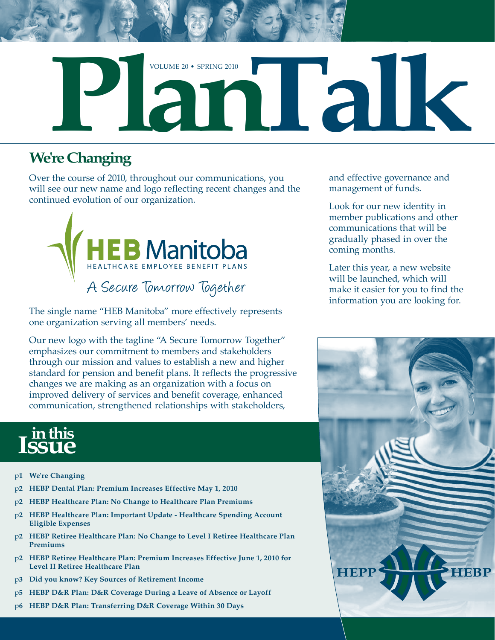

# **We're Changing**

Over the course of 2010, throughout our communications, you will see our new name and logo reflecting recent changes and the continued evolution of our organization.



The single name "HEB Manitoba" more effectively represents one organization serving all members' needs.

Our new logo with the tagline "A Secure Tomorrow Together" emphasizes our commitment to members and stakeholders through our mission and values to establish a new and higher standard for pension and benefit plans. It reflects the progressive changes we are making as an organization with a focus on improved delivery of services and benefit coverage, enhanced communication, strengthened relationships with stakeholders,

# **in this**

- p**1 We're Changing**
- p**2 HEBP Dental Plan: Premium Increases Effective May 1, 2010**
- p**2 HEBP Healthcare Plan: No Change to Healthcare Plan Premiums**
- p**2 HEBP Healthcare Plan: Important Update Healthcare Spending Account Eligible Expenses**
- p**2 HEBP Retiree Healthcare Plan: No Change to Level I Retiree Healthcare Plan Premiums**
- p**2 HEBP Retiree Healthcare Plan: Premium Increases Effective June 1, 2010 for Level II Retiree Healthcare Plan**
- p**3 Did you know? Key Sources of Retirement Income**
- p**5 HEBP D&R Plan: D&R Coverage During a Leave of Absence or Layoff**
- p**6 HEBP D&R Plan: Transferring D&R Coverage Within 30 Days**

and effective governance and management of funds.

Look for our new identity in member publications and other communications that will be gradually phased in over the coming months.

Later this year, a new website will be launched, which will make it easier for you to find the information you are looking for.

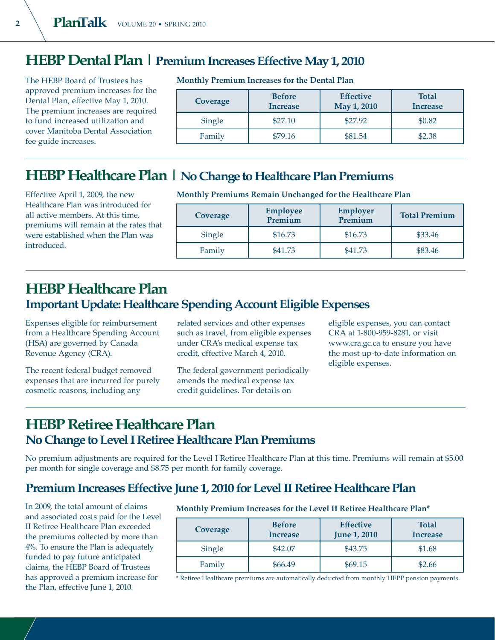# **HEBP Dental Plan | Premium Increases Effective May 1, 2010**

The HEBP Board of Trustees has approved premium increases for the Dental Plan, effective May 1, 2010. The premium increases are required to fund increased utilization and cover Manitoba Dental Association fee guide increases.

#### **Monthly Premium Increases for the Dental Plan**

| Coverage | <b>Before</b><br><b>Increase</b> | <b>Effective</b><br>May 1, 2010 | <b>Total</b><br><b>Increase</b> |
|----------|----------------------------------|---------------------------------|---------------------------------|
| Single   | \$27.10                          | \$27.92                         | \$0.82                          |
| Family   | \$79.16                          |                                 | \$2.38                          |

## **HEBP Healthcare Plan | No Change to Healthcare Plan Premiums**

Effective April 1, 2009, the new Healthcare Plan was introduced for all active members. At this time, premiums will remain at the rates that were established when the Plan was introduced.

**Monthly Premiums Remain Unchanged for the Healthcare Plan**

| Coverage | <b>Employee</b><br>Premium | <b>Employer</b><br>Premium | <b>Total Premium</b> |
|----------|----------------------------|----------------------------|----------------------|
| Single   | \$16.73                    | \$16.73                    | \$33.46              |
| Family   | \$41.73                    | \$41.73                    | \$83.46              |

## **HEBP Healthcare Plan Important Update: Healthcare Spending Account Eligible Expenses**

Expenses eligible for reimbursement from a Healthcare Spending Account (HSA) are governed by Canada Revenue Agency (CRA).

The recent federal budget removed expenses that are incurred for purely cosmetic reasons, including any

related services and other expenses such as travel, from eligible expenses under CRA's medical expense tax credit, effective March 4, 2010.

The federal government periodically amends the medical expense tax credit guidelines. For details on

eligible expenses, you can contact CRA at 1-800-959-8281, or visit www.cra.gc.ca to ensure you have the most up-to-date information on eligible expenses.

## **HEBP Retiree Healthcare Plan No Change to Level I Retiree Healthcare Plan Premiums**

No premium adjustments are required for the Level I Retiree Healthcare Plan at this time. Premiums will remain at \$5.00 per month for single coverage and \$8.75 per month for family coverage.

### **Premium Increases Effective June 1, 2010 for Level II Retiree Healthcare Plan**

In 2009, the total amount of claims and associated costs paid for the Level II Retiree Healthcare Plan exceeded the premiums collected by more than 4%. To ensure the Plan is adequately funded to pay future anticipated claims, the HEBP Board of Trustees has approved a premium increase for the Plan, effective June 1, 2010.

#### **Monthly Premium Increases for the Level II Retiree Healthcare Plan\***

| Coverage | <b>Before</b><br><b>Increase</b> | <b>Effective</b><br><b>June 1, 2010</b> | <b>Total</b><br><b>Increase</b> |
|----------|----------------------------------|-----------------------------------------|---------------------------------|
| Single   | \$42.07                          | \$43.75                                 | \$1.68                          |
| Family   | \$66.49                          | \$69.15                                 | \$2.66                          |

\* Retiree Healthcare premiums are automatically deducted from monthly HEPP pension payments.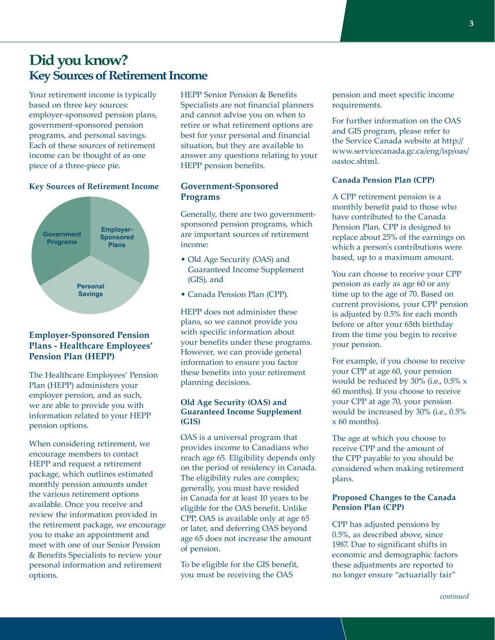## **Did you know? Key Sources of Retirement Income**

Your retirement income is typically based on three key sources: employer-sponsored pension plans, government-sponsored pension programs, and personal savings. Each of these sources of retirement income can be thought of as one piece of a three-piece pie.

#### **Key Sources of Retirement Income**



#### **Employer-Sponsored Pension Plans - Healthcare Employees' Pension Plan (HEPP)**

The Healthcare Employees' Pension Plan (HEPP) administers your employer pension, and as such, we are able to provide you with information related to your HEPP pension options.

When considering retirement, we encourage members to contact HEPP and request a retirement package, which outlines estimated monthly pension amounts under the various retirement options available. Once you receive and review the information provided in the retirement package, we encourage you to make an appointment and meet with one of our Senior Pension & Benefits Specialists to review your personal information and retirement options.

HEPP Senior Pension & Benefits Specialists are not financial planners and cannot advise you on when to retire or what retirement options are best for your personal and financial situation, but they are available to answer any questions relating to your HEPP pension benefits.

#### **Government-Sponsored Programs**

Generally, there are two governmentsponsored pension programs, which are important sources of retirement income:

- Old Age Security (OAS) and Guaranteed Income Supplement (GIS), and
- Canada Pension Plan (CPP).

HEPP does not administer these plans, so we cannot provide you with specific information about your benefits under these programs. However, we can provide general information to ensure you factor these benefits into your retirement planning decisions.

#### **Old Age Security (OAS) and Guaranteed Income Supplement (GIS)**

OAS is a universal program that provides income to Canadians who reach age 65. Eligibility depends only on the period of residency in Canada. The eligibility rules are complex; generally, you must have resided in Canada for at least 10 years to be eligible for the OAS benefit. Unlike CPP, OAS is available only at age 65 or later, and deferring OAS beyond age 65 does not increase the amount of pension.

To be eligible for the GIS benefit, you must be receiving the OAS

pension and meet specific income requirements.

For further information on the OAS and GIS program, please refer to the Service Canada website at http:// www.servicecanada.gc.ca/eng/isp/oas/ oastoc.shtml.

#### **Canada Pension Plan (CPP)**

A CPP retirement pension is a monthly benefit paid to those who have contributed to the Canada Pension Plan. CPP is designed to replace about 25% of the earnings on which a person's contributions were based, up to a maximum amount.

You can choose to receive your CPP pension as early as age 60 or any time up to the age of 70. Based on current provisions, your CPP pension is adjusted by 0.5% for each month before or after your 65th birthday from the time you begin to receive your pension.

For example, if you choose to receive your CPP at age 60, your pension would be reduced by 30% (i.e., 0.5% x 60 months). If you choose to receive your CPP at age 70, your pension would be increased by 30% (i.e., 0.5% x 60 months).

The age at which you choose to receive CPP and the amount of the CPP payable to you should be considered when making retirement plans.

#### **Proposed Changes to the Canada Pension Plan (CPP)**

CPP has adjusted pensions by 0.5%, as described above, since 1987. Due to significant shifts in economic and demographic factors these adjustments are reported to no longer ensure "actuarially fair"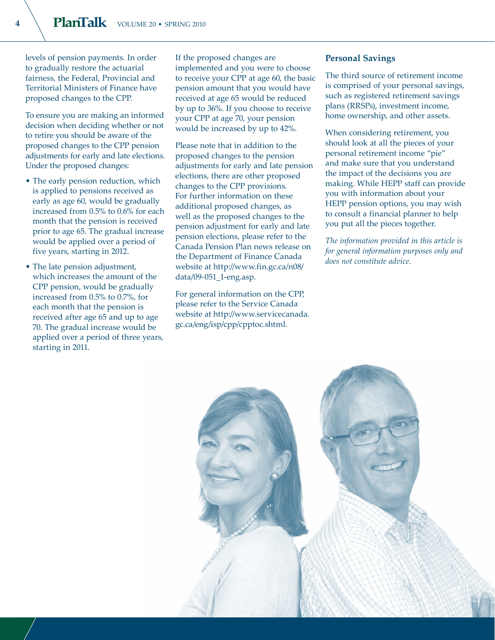levels of pension payments. In order to gradually restore the actuarial fairness, the Federal, Provincial and Territorial Ministers of Finance have proposed changes to the CPP.

To ensure you are making an informed decision when deciding whether or not to retire you should be aware of the proposed changes to the CPP pension adjustments for early and late elections. Under the proposed changes:

- The early pension reduction, which is applied to pensions received as early as age 60, would be gradually increased from 0.5% to 0.6% for each month that the pension is received prior to age 65. The gradual increase would be applied over a period of five years, starting in 2012.
- The late pension adjustment, which increases the amount of the CPP pension, would be gradually increased from 0.5% to 0.7%, for each month that the pension is received after age 65 and up to age 70. The gradual increase would be applied over a period of three years, starting in 2011.

If the proposed changes are implemented and you were to choose to receive your CPP at age 60, the basic pension amount that you would have received at age 65 would be reduced by up to 36%. If you choose to receive your CPP at age 70, your pension would be increased by up to 42%.

Please note that in addition to the proposed changes to the pension adjustments for early and late pension elections, there are other proposed changes to the CPP provisions. For further information on these additional proposed changes, as well as the proposed changes to the pension adjustment for early and late pension elections, please refer to the Canada Pension Plan news release on the Department of Finance Canada website at http://www.fin.gc.ca/n08/ data/09-051\_1-eng.asp.

For general information on the CPP, please refer to the Service Canada website at http://www.servicecanada. gc.ca/eng/isp/cpp/cpptoc.shtml.

#### **Personal Savings**

The third source of retirement income is comprised of your personal savings, such as registered retirement savings plans (RRSPs), investment income, home ownership, and other assets.

When considering retirement, you should look at all the pieces of your personal retirement income "pie" and make sure that you understand the impact of the decisions you are making. While HEPP staff can provide you with information about your HEPP pension options, you may wish to consult a financial planner to help you put all the pieces together.

*The information provided in this article is for general information purposes only and does not constitute advice.*

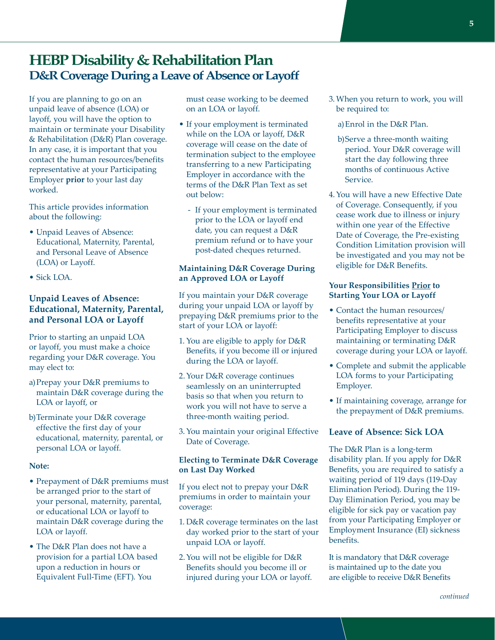## **HEBP Disability & Rehabilitation Plan D&R Coverage During a Leave of Absence or Layoff**

If you are planning to go on an unpaid leave of absence (LOA) or layoff, you will have the option to maintain or terminate your Disability & Rehabilitation (D&R) Plan coverage. In any case, it is important that you contact the human resources/benefits representative at your Participating Employer **prior** to your last day worked.

This article provides information about the following:

- Unpaid Leaves of Absence: Educational, Maternity, Parental, and Personal Leave of Absence (LOA) or Layoff.
- Sick LOA.

#### **Unpaid Leaves of Absence: Educational, Maternity, Parental, and Personal LOA or Layoff**

Prior to starting an unpaid LOA or layoff, you must make a choice regarding your D&R coverage. You may elect to:

- a) Prepay your D&R premiums to maintain D&R coverage during the LOA or layoff, or
- b)Terminate your D&R coverage effective the first day of your educational, maternity, parental, or personal LOA or layoff.

#### **Note:**

- Prepayment of D&R premiums must be arranged prior to the start of your personal, maternity, parental, or educational LOA or layoff to maintain D&R coverage during the LOA or layoff.
- The D&R Plan does not have a provision for a partial LOA based upon a reduction in hours or Equivalent Full-Time (EFT). You

must cease working to be deemed on an LOA or layoff.

- If your employment is terminated while on the LOA or layoff, D&R coverage will cease on the date of termination subject to the employee transferring to a new Participating Employer in accordance with the terms of the D&R Plan Text as set out below:
	- If your employment is terminated prior to the LOA or layoff end date, you can request a D&R premium refund or to have your post-dated cheques returned.

#### **Maintaining D&R Coverage During an Approved LOA or Layoff**

If you maintain your D&R coverage during your unpaid LOA or layoff by prepaying D&R premiums prior to the start of your LOA or layoff:

- 1. You are eligible to apply for D&R Benefits, if you become ill or injured during the LOA or layoff.
- 2.Your D&R coverage continues seamlessly on an uninterrupted basis so that when you return to work you will not have to serve a three-month waiting period.
- 3. You maintain your original Effective Date of Coverage.

#### **Electing to Terminate D&R Coverage on Last Day Worked**

If you elect not to prepay your D&R premiums in order to maintain your coverage:

- 1. D&R coverage terminates on the last day worked prior to the start of your unpaid LOA or layoff.
- 2.You will not be eligible for D&R Benefits should you become ill or injured during your LOA or layoff.

3. When you return to work, you will be required to:

a) Enrol in the D&R Plan.

- b)Serve a three-month waiting period. Your D&R coverage will start the day following three months of continuous Active Service.
- 4.You will have a new Effective Date of Coverage. Consequently, if you cease work due to illness or injury within one year of the Effective Date of Coverage, the Pre-existing Condition Limitation provision will be investigated and you may not be eligible for D&R Benefits.

#### **Your Responsibilities Prior to Starting Your LOA or Layoff**

- Contact the human resources/ benefits representative at your Participating Employer to discuss maintaining or terminating D&R coverage during your LOA or layoff.
- Complete and submit the applicable LOA forms to your Participating Employer.
- If maintaining coverage, arrange for the prepayment of D&R premiums.

#### **Leave of Absence: Sick LOA**

The D&R Plan is a long-term disability plan. If you apply for D&R Benefits, you are required to satisfy a waiting period of 119 days (119-Day Elimination Period). During the 119- Day Elimination Period, you may be eligible for sick pay or vacation pay from your Participating Employer or Employment Insurance (EI) sickness benefits.

It is mandatory that D&R coverage is maintained up to the date you are eligible to receive D&R Benefits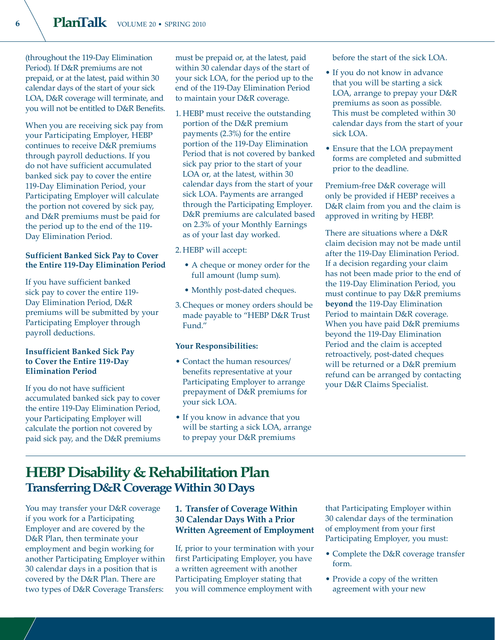(throughout the 119-Day Elimination Period). If D&R premiums are not prepaid, or at the latest, paid within 30 calendar days of the start of your sick LOA, D&R coverage will terminate, and you will not be entitled to D&R Benefits.

When you are receiving sick pay from your Participating Employer, HEBP continues to receive D&R premiums through payroll deductions. If you do not have sufficient accumulated banked sick pay to cover the entire 119-Day Elimination Period, your Participating Employer will calculate the portion not covered by sick pay, and D&R premiums must be paid for the period up to the end of the 119- Day Elimination Period.

#### **Sufficient Banked Sick Pay to Cover the Entire 119-Day Elimination Period**

If you have sufficient banked sick pay to cover the entire 119- Day Elimination Period, D&R premiums will be submitted by your Participating Employer through payroll deductions.

#### **Insufficient Banked Sick Pay to Cover the Entire 119-Day Elimination Period**

If you do not have sufficient accumulated banked sick pay to cover the entire 119-Day Elimination Period, your Participating Employer will calculate the portion not covered by paid sick pay, and the D&R premiums must be prepaid or, at the latest, paid within 30 calendar days of the start of your sick LOA, for the period up to the end of the 119-Day Elimination Period to maintain your D&R coverage.

- 1. HEBP must receive the outstanding portion of the D&R premium payments (2.3%) for the entire portion of the 119-Day Elimination Period that is not covered by banked sick pay prior to the start of your LOA or, at the latest, within 30 calendar days from the start of your sick LOA. Payments are arranged through the Participating Employer. D&R premiums are calculated based on 2.3% of your Monthly Earnings as of your last day worked.
- 2. HEBP will accept:
	- A cheque or money order for the full amount (lump sum).
	- Monthly post-dated cheques.
- 3. Cheques or money orders should be made payable to "HEBP D&R Trust Fund<sup>'</sup>

#### **Your Responsibilities:**

- Contact the human resources/ benefits representative at your Participating Employer to arrange prepayment of D&R premiums for your sick LOA.
- If you know in advance that you will be starting a sick LOA, arrange to prepay your D&R premiums

before the start of the sick LOA.

- If you do not know in advance that you will be starting a sick LOA, arrange to prepay your D&R premiums as soon as possible. This must be completed within 30 calendar days from the start of your sick LOA.
- Ensure that the LOA prepayment forms are completed and submitted prior to the deadline.

Premium-free D&R coverage will only be provided if HEBP receives a D&R claim from you and the claim is approved in writing by HEBP.

There are situations where a D&R claim decision may not be made until after the 119-Day Elimination Period. If a decision regarding your claim has not been made prior to the end of the 119-Day Elimination Period, you must continue to pay D&R premiums **beyond** the 119-Day Elimination Period to maintain D&R coverage. When you have paid D&R premiums beyond the 119-Day Elimination Period and the claim is accepted retroactively, post-dated cheques will be returned or a D&R premium refund can be arranged by contacting your D&R Claims Specialist.

## **HEBP Disability & Rehabilitation Plan Transferring D&R Coverage Within 30 Days**

You may transfer your D&R coverage if you work for a Participating Employer and are covered by the D&R Plan, then terminate your employment and begin working for another Participating Employer within 30 calendar days in a position that is covered by the D&R Plan. There are two types of D&R Coverage Transfers:

#### **1. Transfer of Coverage Within 30 Calendar Days With a Prior Written Agreement of Employment**

If, prior to your termination with your first Participating Employer, you have a written agreement with another Participating Employer stating that you will commence employment with

that Participating Employer within 30 calendar days of the termination of employment from your first Participating Employer, you must:

- Complete the D&R coverage transfer form.
- Provide a copy of the written agreement with your new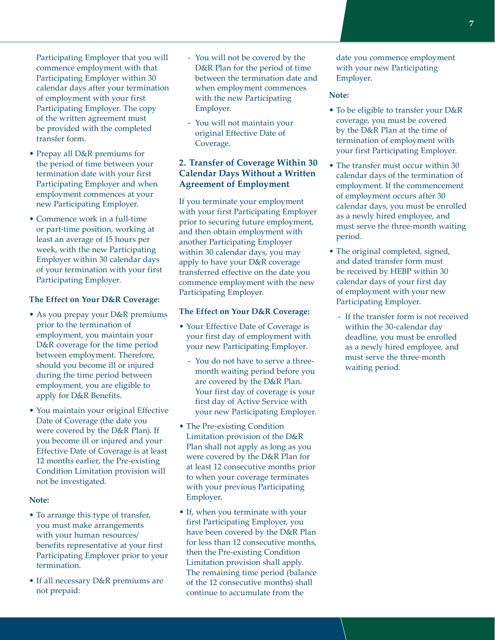Participating Employer that you will commence employment with that Participating Employer within 30 calendar days after your termination of employment with your first Participating Employer. The copy of the written agreement must be provided with the completed transfer form.

- Prepay all D&R premiums for the period of time between your termination date with your first Participating Employer and when employment commences at your new Participating Employer.
- Commence work in a full-time or part-time position, working at least an average of 15 hours per week, with the new Participating Employer within 30 calendar days of your termination with your first Participating Employer.

#### **The Effect on Your D&R Coverage:**

- As you prepay your D&R premiums prior to the termination of employment, you maintain your D&R coverage for the time period between employment. Therefore, should you become ill or injured during the time period between employment, you are eligible to apply for D&R Benefits.
- You maintain your original Effective Date of Coverage (the date you were covered by the D&R Plan). If you become ill or injured and your Effective Date of Coverage is at least 12 months earlier, the Pre-existing Condition Limitation provision will not be investigated.

#### **Note:**

- To arrange this type of transfer, you must make arrangements with your human resources/ benefits representative at your first Participating Employer prior to your termination.
- If all necessary D&R premiums are not prepaid:
- You will not be covered by the D&R Plan for the period of time between the termination date and when employment commences with the new Participating Employer.
- You will not maintain your original Effective Date of Coverage.

#### **2. Transfer of Coverage Within 30 Calendar Days Without a Written Agreement of Employment**

If you terminate your employment with your first Participating Employer prior to securing future employment, and then obtain employment with another Participating Employer within 30 calendar days, you may apply to have your D&R coverage transferred effective on the date you commence employment with the new Participating Employer.

#### **The Effect on Your D&R Coverage:**

- Your Effective Date of Coverage is your first day of employment with your new Participating Employer.
	- You do not have to serve a threemonth waiting period before you are covered by the D&R Plan. Your first day of coverage is your first day of Active Service with your new Participating Employer.
- The Pre-existing Condition Limitation provision of the D&R Plan shall not apply as long as you were covered by the D&R Plan for at least 12 consecutive months prior to when your coverage terminates with your previous Participating Employer.
- If, when you terminate with your first Participating Employer, you have been covered by the D&R Plan for less than 12 consecutive months, then the Pre-existing Condition Limitation provision shall apply. The remaining time period (balance of the 12 consecutive months) shall continue to accumulate from the

date you commence employment with your new Participating Employer.

#### **Note:**

- To be eligible to transfer your D&R coverage, you must be covered by the D&R Plan at the time of termination of employment with your first Participating Employer.
- The transfer must occur within 30 calendar days of the termination of employment. If the commencement of employment occurs after 30 calendar days, you must be enrolled as a newly hired employee, and must serve the three-month waiting period.
- The original completed, signed, and dated transfer form must be received by HEBP within 30 calendar days of your first day of employment with your new Participating Employer.
	- If the transfer form is not received within the 30-calendar day deadline, you must be enrolled as a newly hired employee, and must serve the three-month waiting period.